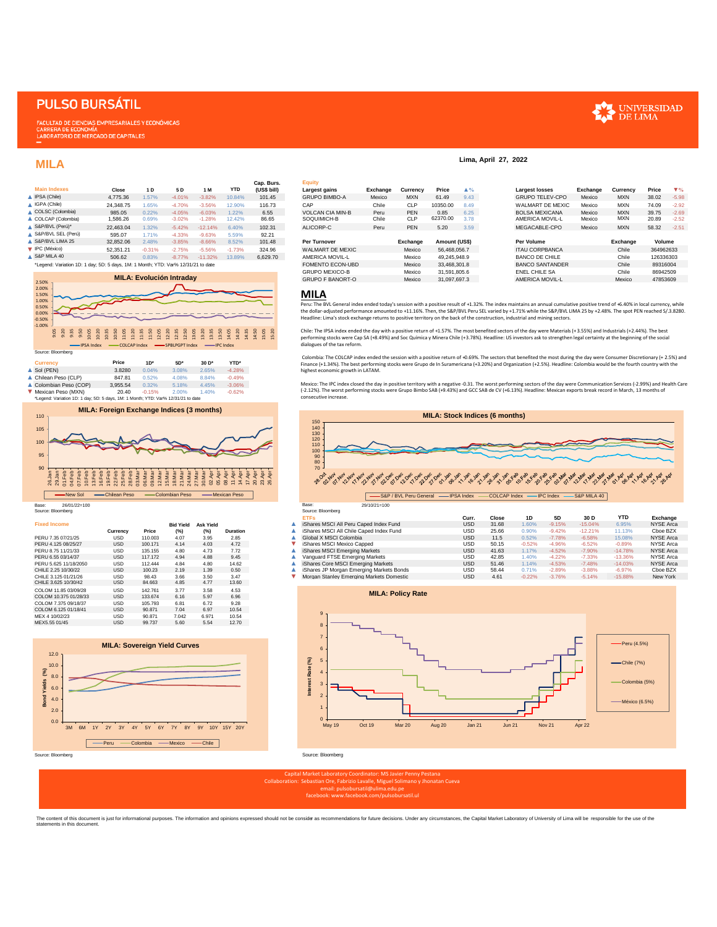# **PULSO BURSÁTIL**

**FACULTAD DE CIENCIAS EMPRESARIALES Y ECONÓMICAS** CARRERA DE ECONOMÍA<br>LABORATORIO DE MERCADO DE CAPITALES

## **MILA**

|    | <b>Main Indexes</b> | Close     | 1 D      | 5 D      | 1 M       | <b>YTD</b> | Cap. Burs.<br>(US\$ bill) |
|----|---------------------|-----------|----------|----------|-----------|------------|---------------------------|
|    | IPSA (Chile)        | 4.775.36  | 1.57%    | $-4.01%$ | $-3.82%$  | 10.84%     | 101.45                    |
|    | IGPA (Chile)        | 24.348.75 | 1.65%    | $-4.70%$ | $-3.56%$  | 12.90%     | 116.73                    |
| ٠  | COLSC (Colombia)    | 985.05    | 0.22%    | $-4.05%$ | $-6.03%$  | 1.22%      | 6.55                      |
| Δ. | COLCAP (Colombia)   | 1.586.26  | 0.69%    | $-3.02%$ | $-1.28%$  | 12.42%     | 86.65                     |
| ▲  | S&P/BVL (Perú)*     | 22.463.04 | 1.32%    | $-5.42%$ | $-12.14%$ | 6.40%      | 102.31                    |
|    | S&P/BVL SEL (Perú)  | 595.07    | 1.71%    | $-4.33%$ | $-9.63%$  | 5.59%      | 92.21                     |
| ▲  | S&P/BVL LIMA 25     | 32.852.06 | 2.48%    | $-3.85%$ | $-8.66%$  | 8.52%      | 101.48                    |
|    | IPC (México)        | 52.351.21 | $-0.31%$ | $-2.75%$ | $-5.56%$  | $-1.73%$   | 324.96                    |
|    | S&P MILA 40         | 506.62    | 0.83%    | $-8.77%$ | $-11.32%$ | 13.89%     | 6.629.70                  |



|                             | Colombian Peso (COP)                                                                                    | 3.955.54                                         | 0.32%    | 5.18% | 4.45% | $-3.06%$ |  |
|-----------------------------|---------------------------------------------------------------------------------------------------------|--------------------------------------------------|----------|-------|-------|----------|--|
|                             | Mexican Peso (MXN)<br>*Legend: Variation 1D: 1 day; 5D: 5 days, 1M: 1 Month; YTD: Var% 12/31/21 to date | 20.40                                            | $-0.15%$ | 2.00% | 1.40% | $-0.62%$ |  |
|                             |                                                                                                         | <b>MILA: Foreign Exchange Indices (3 months)</b> |          |       |       |          |  |
| $110 -$<br>105<br>100<br>95 |                                                                                                         |                                                  |          |       |       |          |  |



Source: Bloomberg

| <b>Fixed Income</b>   |            |         | <b>Bid Yield</b> | <b>Ask Yield</b> |                 | iShares MSCI All Peru Caped Index Fund   | <b>USD</b> | 31.68 | 1.60%    | $-9.15%$ | $-15.04%$ |  |
|-----------------------|------------|---------|------------------|------------------|-----------------|------------------------------------------|------------|-------|----------|----------|-----------|--|
|                       | Currency   | Price   | (%)              | (%)              | <b>Duration</b> | iShares MSCI All Chile Caped Index Fund  | <b>USD</b> | 25.66 | 0.90%    | $-9.42%$ | $-12.21%$ |  |
| PERU 7.35 07/21/25    | USD        | 110.003 | 4.07             | 3.95             | 2.85            | Global X MSCI Colombia                   | <b>USD</b> | 11.5  | 0.52%    | $-7.78%$ | $-6.58%$  |  |
| PERU 4.125 08/25/27   | <b>USD</b> | 100.171 | 4.14             | 4.03             | 4.72            | iShares MSCI Mexico Capped               | <b>USD</b> | 50.15 | $-0.52%$ | $-4.96%$ | $-6.52%$  |  |
| PERU 8.75 11/21/33    | <b>USD</b> | 135.155 | 4.80             | 4.73             | 7.72            | iShares MSCI Emerging Markets            | <b>USD</b> | 41.63 | 1.17%    | $-4.52%$ | $-7.90%$  |  |
| PERU 6.55 03/14/37    | <b>USD</b> | 117.172 | 4.94             | 4.88             | 9.45            | Vanguard FTSE Emerging Markets           | <b>USD</b> | 42.85 | 1.40%    | $-4.22%$ | $-7.33%$  |  |
| PERU 5.625 11/18/2050 | <b>USD</b> | 112,444 | 4.84             | 4.80             | 14.62           | iShares Core MSCI Emerging Markets       | <b>USD</b> | 51.46 | 1.14%    | $-4.53%$ | $-7.48%$  |  |
| CHILE 2.25 10/30/22   | <b>USD</b> | 100.23  | 2.19             | 1.39             | 0.50            | iShares JP Morgan Emerging Markets Bonds | <b>USD</b> | 58.44 | 0.71%    | $-2.89%$ | $-3.88%$  |  |
| CHILE 3.125 01/21/26  | USD        | 98.43   | 3.66             | 3.50             | 3.47            | Morgan Stanley Emerging Markets Domestic | <b>USD</b> | 4.61  | $-0.22%$ | $-3.76%$ | $-5.14%$  |  |
| CHILE 3.625 10/30/42  | USD        | 84.663  | 4.85             | 4.77             | 13.60           |                                          |            |       |          |          |           |  |
| COLOM 11.85 03/09/28  | <b>USD</b> | 142.761 | 3.77             | 3.58             | 4.53            |                                          |            |       |          |          |           |  |
| COLOM 10.375 01/28/33 | <b>USD</b> | 133.674 | 6.16             | 5.97             | 6.96            | <b>MILA: Policy Rate</b>                 |            |       |          |          |           |  |
| COLOM 7.375 09/18/37  | <b>USD</b> | 105.793 | 6.81             | 6.72             | 9.28            |                                          |            |       |          |          |           |  |
| COLOM 6.125 01/18/41  | <b>USD</b> | 90.871  | 7.04             | 6.97             | 10.54           |                                          |            |       |          |          |           |  |
| MEX 4 10/02/23        | USD        | 90.871  | 7.042            | 6.971            | 10.54           | 9                                        |            |       |          |          |           |  |
| MEX5.55 01/45         | USD        | 99.737  | 5.60             | 5.54             | 12.70           | $\sim$                                   |            |       |          |          |           |  |





**Lima, April 27, 2022**

### **MILA**

Peru: The BVL General index ended today's session with a positive result of +1.32%. The index maintains an annual cumulative positive trend of +6.40% in local currency, while the dollar-adjusted performance amounted to +11.16%. Then, the S&P/BVL Peru SEL varied by +1.71% while the S&P/BVL LIMA 25 by +2.48%. The spot PEN reached S/.3.8280.<br>Headline: Lima's stock exchange returns to positive terr

Chile: The IPSA index ended the day with a positive return of +1.57%. The most benefited sectors of the day were Materials (+3.55%) and Industrials (+2.44%). The best performing stocks were Cap SA (+8.49%) and Soc Química y Minera Chile (+3.78%). Headline: US investors ask to strengthen legal certainty at the beginning of the social dialogues of the tax reform.

Colombia: The COLCAP index ended the session with a positive return of +0.69%. The sectors that benefited the most during the day were Consumer Discretionary (+ 2.5%) and Finance (+1.34%). The best performing stocks were Grupo de In Suramericana (+3.20%) and Organization (+2.5%). Headline: Colombia would be the fourth country with the highest economic growth in LATAM.

Mexico: The IPC index closed the day in positive territory with a negative-0.31. The worst performing sectors of the day were Communication Services (-2.99%) and Health Care<br>(-2.12%). The worst performing stocks were Grupo consecutive increase.



| Source: Bloomberg     |            |         |                  |                  |                 | Source: Bloomberg                        |            |       |          |          |           |            |           |
|-----------------------|------------|---------|------------------|------------------|-----------------|------------------------------------------|------------|-------|----------|----------|-----------|------------|-----------|
|                       |            |         |                  |                  |                 | <b>ETFs</b>                              | Curr.      | Close | 1D       | 5D       | 30 D      | <b>YTD</b> | Exchange  |
| <b>Fixed Income</b>   |            |         | <b>Bid Yield</b> | <b>Ask Yield</b> |                 | iShares MSCI All Peru Caped Index Fund   | <b>USD</b> | 31.68 | 1.60%    | $-9.15%$ | $-15.04%$ | 6.95%      | NYSE Arca |
|                       | Currency   | Price   | (%)              |                  | <b>Duration</b> | iShares MSCI All Chile Caped Index Fund  | USD        | 25.66 | 0.90%    | $-9.42%$ | $-12.21%$ | 11.13%     | Cboe BZX  |
| PERU 7.35 07/21/25    | <b>USD</b> | 110.003 | 4.07             | 3.95             | 2.85            | Global X MSCI Colombia                   | <b>USD</b> | 11.5  | 0.52%    | $-7.78%$ | $-6.58%$  | 15.08%     | NYSE Arca |
| PERU 4.125 08/25/27   | <b>USD</b> | 100.171 | 4.14             | 4.03             | 4.72            | iShares MSCI Mexico Capped               | <b>USD</b> | 50.15 | $-0.52%$ | $-4.96%$ | $-6.52%$  | $-0.89%$   | NYSE Arca |
| PERU 8.75 11/21/33    | <b>USD</b> | 135.155 | 4.80             | 4.73             | 7.72            | iShares MSCI Emerging Markets            | <b>USD</b> | 41.63 | 1.17%    | $-4.52%$ | $-7.90%$  | $-14.78%$  | NYSE Arca |
| PERU 6.55 03/14/37    | <b>USD</b> | 117.172 | 4.94             | 4.88             | 9.45            | Vanguard FTSE Emerging Markets           | <b>USD</b> | 42.85 | 1.40%    | $-4.22%$ | $-7.33%$  | $-13.36%$  | NYSE Arca |
| PERU 5.625 11/18/2050 | <b>USD</b> | 112.444 | 4.84             | 4.80             | 14.62           | iShares Core MSCI Emerging Markets       | <b>USD</b> | 51.46 | 1.14%    | $-4.53%$ | $-7.48%$  | $-14.03%$  | NYSE Arca |
| CHILE 2.25 10/30/22   | <b>USD</b> | 100.23  | 2.19             | 1.39             | 0.50            | iShares JP Morgan Emerging Markets Bonds | <b>USD</b> | 58.44 | 0.719    | $-2.89%$ | $-3.88%$  | $-6.97%$   | Cboe BZX  |
| CHILE 3.125 01/21/26  | USD        | 98.43   | 3.66             | 3.50             | 3.47            | Morgan Stanley Emerging Markets Domestic | <b>USD</b> | 4.61  | $-0.22%$ | $-3.76%$ | $-5.14%$  | $-15.88%$  | New York  |



Capital Market Laboratory Coordinator: MS Javier Penny Pestana Collaboration: Sebastian Ore, Fabrizio Lavalle, Miguel Solimano y Jhonatan Cueva email: pulsobursatil@ulima.edu.pe facebook: www.facebook.com/pulsobursatil.ul

The content of this document is just for informational purposes. The information and opinions expressed should not be consider as recommendations for future decisions. Under any circumstances, the Capital Market Laboratory

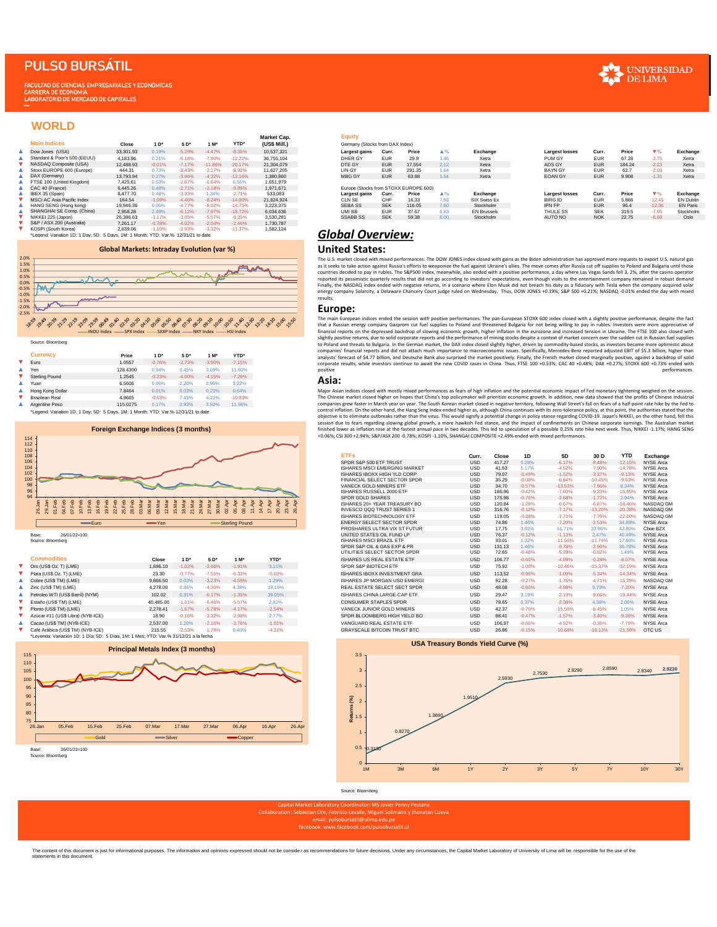# **PULSO BURSÁTIL**

**CULTAD DE CIENCIAS EMPRESARIALES Y ECONÓMICAS** CARRERA DE ECONOMÍA

### **WORLD**

|    |                                                                                    |           |          |          |           |             | Market Cap.  | Equity                                |            |        |
|----|------------------------------------------------------------------------------------|-----------|----------|----------|-----------|-------------|--------------|---------------------------------------|------------|--------|
|    | <b>Main Indices</b>                                                                | Close     | $1*$     | $5D^*$   | $1 M*$    | <b>YTD*</b> | (US\$ Mill.) | Germany (Stocks from DAX Index)       |            |        |
| Δ. | Dow Jones (USA)                                                                    | 33.301.93 | 0.19%    | $-5.29%$ | $-4.47%$  | $-8.36%$    | 10.537.321   | Largest gains                         | Curr.      | Price  |
| Δ. | Standard & Poor's 500 (EEUU)                                                       | 4.183.96  | 0.21%    | $-6.18%$ | $-7.90%$  | $-12.22%$   | 36,755,104   | DHER GY                               | <b>EUR</b> | 29.9   |
|    | NASDAQ Composite (USA)                                                             | 12,488.93 | $-0.01%$ | $-7.17%$ | $-11.86%$ | $-20.17%$   | 21.304.079   | DTE GY                                | <b>EUR</b> | 17.554 |
| ▴  | Stoxx EUROPE 600 (Europe)                                                          | 444.31    | 0.73%    | $-3.43%$ | $-2.17%$  | $-8.92%$    | 11.627.205   | LIN GY                                | <b>EUR</b> | 291.35 |
| ٨. | DAX (Germany)                                                                      | 13,793.94 | 0.27%    | $-3.96%$ | $-4.32%$  | $-13.16%$   | 1.380.860    | <b>MBG GY</b>                         | <b>EUR</b> | 63.88  |
| Δ. | FTSE 100 (United Kinadom)                                                          | 7.425.61  | 0.53%    | $-2.67%$ | $-0.64%$  | 0.56%       | 1.651.979    |                                       |            |        |
| ▲  | CAC 40 (France)                                                                    | 6.445.26  | 0.48%    | $-2.71%$ | $-2.18%$  | $-9.89%$    | 1.971.671    | Europe (Stocks from STOXX EUROPE 600) |            |        |
| ▲  | IBEX 35 (Spain)                                                                    | 8.477.70  | 0.46%    | $-3.33%$ | 1.34%     | $-2.71%$    | 533.083      | Largest gains                         | Curr.      | Price  |
|    | MSCI AC Asia Pacific Index                                                         | 164.54    | $-1.09%$ | $-4.46%$ | $-8.24%$  | $-14.80%$   | 21.824.924   | CLN SE                                | CHF        | 16.33  |
| ▴  | HANG SENG (Hong kong)                                                              | 19,946.36 | 0.06%    | $-4.77%$ | $-8.02%$  | $-14.75%$   | 3.223.375    | <b>SEBA SS</b>                        | <b>SEK</b> | 116.05 |
| ▲  | SHANGHAI SE Comp. (China)                                                          | 2.958.28  | 2.49%    | $-6.12%$ | $-7.97%$  | $-18.72%$   | 6.034.636    | UMI BB                                | <b>EUR</b> | 37.67  |
| ▼  | NIKKEI 225 (Japon)                                                                 | 26.386.63 | $-1.17%$ | $-3.05%$ | $-5.57%$  | $-8.35%$    | 3.530.281    | <b>SSABB SS</b>                       | <b>SEK</b> | 59.38  |
|    | S&P / ASX 200 (Australia)                                                          | 7.261.17  | $-0.78%$ | $-4.02%$ | $-2.04%$  | $-2.46%$    | 1.730.787    |                                       |            |        |
| v  | KOSPI (South Korea)                                                                | 2.639.06  | $-1.10%$ | $-2.93%$ | $-3.32%$  | $-11.37%$   | 1,582,124    |                                       |            |        |
|    | *Legend: Variation 1D: 1 Day: 5D: 5 Days, 1M: 1 Month: YTD: Var.% 12/31/21 to date |           |          |          |           |             |              | Global Overview:                      |            |        |

#### **Global Markets: Intraday Evolution (var %)**



| Price    | $1*$     | $5D*$    | $1 M*$   | YTD*      |
|----------|----------|----------|----------|-----------|
| 1.0557   | $-0.76%$ | $-2.73%$ | $-3.90%$ | $-7.15%$  |
| 128,4300 | 0.94%    | 0.45%    | 3.69%    | 11.60%    |
| 1.2545   | $-0.23%$ | $-4.00%$ | $-4.15%$ | $-7.29%$  |
| 6,5606   | 0.06%    | 2.20%    | 2.96%    | 3.22%     |
| 7.8464   | 0.01%    | 0.03%    | 0.21%    | 0.64%     |
| 4.9665   | $-0.63%$ | 7.45%    | 4.21%    | $-10.93%$ |
| 115.0275 | 0.17%    | 0.93%    | 3.92%    | 11.96%    |
|          |          |          |          |           |



|   | <b>Commodities</b>                                                                   | Close     | $1*$     | $5D*$    | $1 M*$   | YTD*     |
|---|--------------------------------------------------------------------------------------|-----------|----------|----------|----------|----------|
| v | Oro (US\$ Oz. T) (LME)                                                               | 1.886.10  | $-1.02%$ | $-3.66%$ | $-1.91%$ | 3.11%    |
| v | Plata (US\$ Oz. T) (LME)                                                             | 23.30     | $-0.77%$ | $-7.55%$ | $-6.33%$ | $-0.02%$ |
| ▲ | Cobre (US\$ TM) (LME)                                                                | 9.866.50  | 0.03%    | $-3.23%$ | $-4.59%$ | 1.29%    |
| ▲ | Zinc (US\$ TM) (LME)                                                                 | 4.278.00  | 0.86%    | $-4.30%$ | 4.38%    | 19.16%   |
| Δ | Petroleo WTI (US\$ Barril) (NYM)                                                     | 102.02    | 0.31%    | $-0.17%$ | $-1.35%$ | 39.05%   |
| v | Estaño (US\$ TM) (LME)                                                               | 40.485.00 | $-1.01%$ | $-6.46%$ | $-5.57%$ | 2.82%    |
| v | Plomo (US\$ TM) (LME)                                                                | 2.278.41  | $-1.67%$ | $-5.78%$ | $-4.17%$ | $-2.54%$ |
| v | Azúcar #11 (US\$ Libra) (NYB-ICE)                                                    | 18.90     | $-0.16%$ | $-3.32%$ | $-2.98%$ | 2.77%    |
| ▲ | Cacao (US\$ TM) (NYB-ICE)                                                            | 2.537.00  | 1.20%    | $-2.16%$ | $-3.76%$ | $-1.01%$ |
| ▼ | Café Arábica (US\$ TM) (NYB-ICE)                                                     | 215.55    | $-2.53%$ | $-1.78%$ | 0.40%    | $-4.31%$ |
|   | *Levenda: Variación 1D: 1 Día: 5D: 5 Días, 1M: 1 Mes: YTD: Var.% 31/12/21 a la fecha |           |          |          |          |          |

**Principal Metals Index (3 months)**



#### **Equity**

|                                   |           |          |          |           |             | warket Cap.  | ⊷yuny                                 |            |        |                    |                    |                       |            |        |          |                  |
|-----------------------------------|-----------|----------|----------|-----------|-------------|--------------|---------------------------------------|------------|--------|--------------------|--------------------|-----------------------|------------|--------|----------|------------------|
| <b>Main Indices</b>               | Close     | $1*$     | 5 D*     | $1 M*$    | <b>YTD'</b> | (US\$ Mill.) | Germany (Stocks from DAX Index)       |            |        |                    |                    |                       |            |        |          |                  |
| Dow Jones (USA)                   | 33.301.93 | 0.19%    | $-5.29%$ | $-4.47%$  | $-8.36%$    | 10,537,321   | Largest gains                         | Curr.      | Price  | $\blacktriangle$ % | Exchange           | <b>Largest losses</b> | Curr.      | Price  | $\Psi\%$ | Exchange         |
| Standard & Poor's 500 (EEUU)      | 4.183.96  | 0.21%    | $-6.18%$ | $-7.90%$  | $-12.22%$   | 36,755,104   | DHER GY                               | <b>EUR</b> | 29.9   | 3.46               | Xetra              | PUM GY                | <b>EUR</b> | 67.28  | $-2.75$  | Xetra            |
| NASDAQ Composite (USA)            | 12.488.93 | $-0.01%$ | $-7.17%$ | $-11.86%$ | $-20.17%$   | 21.304.079   | DTE GY                                | <b>EUR</b> | 17,554 | 2.12               | Xetra              | ADS GY                | <b>EUR</b> | 184.24 | $-2.23$  | Xetra            |
| Stoxx EUROPE 600 (Europe)         | 444.31    | 0.73%    | $-3.43%$ |           | $-8.92%$    | 11.627.205   | LIN GY                                | <b>EUR</b> | 291.35 | 1.64               | Xetra              | <b>BAYN GY</b>        | <b>EUR</b> | 62.7   | $-2.03$  | Xetra            |
| DAX (Germany)                     | 13,793.94 | 0.27%    | $-3.96%$ | $-4.32%$  | $-13.16%$   | 1.380.860    | MBG GY                                | <b>EUR</b> | 63.88  | 1.54               | Xetra              | <b>EOAN GY</b>        | <b>EUR</b> | 9.908  | $-1.31$  | Xetra            |
| FTSE 100 (United Kingdom)         | 7.425.61  | 0.53%    | $-2.67%$ | $-0.64%$  | 0.56%       | 1,651,979    |                                       |            |        |                    |                    |                       |            |        |          |                  |
| CAC 40 (France)                   | 6.445.26  | 0.48%    | $-2.71%$ | $-2.18%$  | $-9.89%$    | 1.971.671    | Europe (Stocks from STOXX EUROPE 600) |            |        |                    |                    |                       |            |        |          |                  |
| IBEX 35 (Spain)                   | 8,477.70  | 0.46%    | $-3.33%$ | .34%      | $-2.71%$    | 533,083      | Largest gains                         | Curr.      | Price  | $\blacktriangle$ % | Exchange           | <b>Largest losses</b> | Curr.      | Price  | $\Psi\%$ | Exchange         |
| <b>MSCI AC Asia Pacific Index</b> | 164.54    | $-1.09%$ | $-4.46%$ | $-8.24%$  | $-14.80%$   | 21.824.924   | CLN SE                                | CHF        | 16.33  | 7.93               | SIX Swiss Ex       | <b>BIRG ID</b>        | <b>EUR</b> | 5.866  | $-12.45$ | <b>EN Dublin</b> |
| HANG SENG (Hong kong)             | 19.946.36 | 0.06%    | $-4.77%$ | $-8.02%$  | $-14.75%$   | 3.223.375    | SEBA SS                               | <b>SEK</b> | 116.05 | 7.60               | Stockholm          | <b>IPN FP</b>         | <b>EUR</b> | 96.4   | $-12.36$ | <b>EN Paris</b>  |
| SHANGHAI SE Comp. (China)         | 2.958.28  | 2.49%    | $-6.12%$ | $-7.97%$  | $-18.72%$   | 6.034.636    | UMI BB                                | <b>EUR</b> | 37.67  | 6.83               | <b>EN Brussels</b> | THULE SS              | <b>SEK</b> | 319.5  | $-7.95$  | Stockholm        |
| NIKKEI 225 (Japon)                | 26.386.63 | $-1.17%$ | $-3.05%$ | $-5.57%$  | $-8.35%$    | 3.530.281    | <b>SSABB SS</b>                       | <b>SEK</b> | 59.38  | 6.00               | Stockholm          | AUTO NO               | <b>NOK</b> | 22.75  | $-6.69$  | Oslo             |
| S&P / ASX 200 (Australia)         | 7.261.17  | $-0.78%$ | $-4.02%$ | $-2.04%$  | $-2.46%$    | 1.730.787    |                                       |            |        |                    |                    |                       |            |        |          |                  |

## *Global Overview:* **United States:**

The U.S. market closed with mixed performances. The DOW JONES index closed with gains as the Biden administration has approved more requests to export U.S. natural gas<br>as it seeks to take action against Russia's efforts to results.

### **Europe:**

The main European indices ended the session with positive performances. The pan-European STOXX 600 index closed with a slightly positive performance, despite the fact<br>that a Russian energy company Gazprom cut fuel supplies financial reports on the depressed backdrop of slowing economic growth, higher inflation in the eurozone and increased tension in Ukraine. The FTSE 100 also closed with<br>slightly positive returns, due to sorporate reports a companies' financial reports and did not attach much importance to macroeconomic issues. Specifically, Mercedes-Benz reported adjusted EBIT of \$5.3 billion, higher than<br>analysts' forecast of \$4.77 billion, and Deutsche Ben positive performances.

### **Asia:**

Major Asian indices closed with mostly mixed performances as fears of high inflation and the potential economic impact of Fed monetary tightening weighed on the session. The Chinese market closed higher on hopes that China's top policymake will prioritize economic growth. In addition, new data showed that the profits of Chinese industrial<br>companies grew faster in March year on year. The So

|     | .                                                     |                                                                 |          |                  |                                  |          |
|-----|-------------------------------------------------------|-----------------------------------------------------------------|----------|------------------|----------------------------------|----------|
| 108 |                                                       |                                                                 |          |                  |                                  |          |
|     | 106                                                   |                                                                 |          |                  |                                  |          |
| 104 |                                                       |                                                                 |          |                  |                                  |          |
|     | 102                                                   |                                                                 |          |                  |                                  |          |
| 100 |                                                       |                                                                 |          |                  |                                  |          |
|     | 98                                                    |                                                                 |          |                  |                                  |          |
|     | 96                                                    |                                                                 |          |                  |                                  |          |
|     | 94                                                    |                                                                 |          |                  |                                  |          |
|     | Feb<br>Feb<br>$\frac{4}{10}$<br>Feb<br>Feb            | Feb<br>Mar<br>Nar<br>Nar<br>g                                   | g<br>g   |                  | Ę<br>ā<br>$\bar{z}$<br>$\bar{z}$ | Ę<br>ĕ   |
|     | $\overline{a}$<br>$\mathbf{a}$<br>$\mathbb{R}^2$<br>5 | 28.<br>g<br>$\ddot{\mathbf{g}}$<br>8<br>$\overline{\mathbf{r}}$ |          | g<br>$\tilde{z}$ | $\mathbb{R}$                     |          |
|     |                                                       |                                                                 |          |                  |                                  |          |
|     | $-$ Euro                                              | $-Yen$                                                          |          |                  | Sterling Pound                   |          |
|     |                                                       |                                                                 |          |                  |                                  |          |
|     | 26/01/22=100<br>Base:                                 |                                                                 |          |                  |                                  |          |
|     | Source: Bloomberg                                     |                                                                 |          |                  |                                  |          |
|     |                                                       |                                                                 |          |                  |                                  |          |
|     |                                                       |                                                                 |          |                  |                                  |          |
|     | <b>Commodities</b>                                    | Close                                                           | $1*$     | $5D^*$           | $1 M*$                           | YTD*     |
|     | Oro (US\$ Oz. T) (LME)                                | 1,886.10                                                        | $-1.02%$ | $-3.66%$         | $-1.91%$                         | 3.11%    |
|     | Plata (US\$ Oz. T) (LME)                              | 23.30                                                           | $-0.77%$ | $-7.55%$         | $-6.33%$                         | $-0.02%$ |
|     | Cobre (US\$ TM) (LME)                                 | 9.866.50                                                        | 0.03%    | $-3.23%$         | $-4.59%$                         | 1.29%    |
|     | Zinc (US\$ TM) (LME)                                  | 4,278.00                                                        | 0.86%    | $-4.30%$         | 4.38%                            | 19.16%   |
|     | Petroleo WTI (US\$ Barril) (NYM)                      | 102.02                                                          | 0.31%    | $-0.17%$         | $-1.35%$                         | 39.05%   |
|     | Estaño (US\$ TM) (LME)                                | 40.485.00                                                       | $-1.01%$ | $-6.46%$         | $-5.57%$                         | 2.82%    |
|     | Plomo (US\$ TM) (LME)                                 | 2.278.41                                                        | $-1.67%$ | $-5.78%$         | $-4.17%$                         | $-2.54%$ |
|     | Azúcar #11 (US\$ Libra) (NYB-ICE)                     | 18.90                                                           | $-0.16%$ | $-3.32%$         | $-2.98%$                         | 2.77%    |
|     | Cacao (US\$ TM) (NYB-ICE)                             | 2.537.00                                                        | 1.20%    | $-2.16%$         | $-3.76%$                         | $-1.01%$ |
|     | Café Arábica (US\$ TM) (NYB-ICE)                      | 215.55                                                          | $-2.53%$ | $-1.78%$         | 0.40%                            | $-4.31%$ |
|     |                                                       |                                                                 |          |                  |                                  |          |

#### **USA Treasury Bonds Yield Curve (%)**



Source: Bloomberg

#### email: pulsobursatil@ulima.edu.pe facebook: www.facebook.com/pulsobursatil.ul

The content of this document is just for informational purposes. The information and opinions expressed should not be consider as recommendations for future decisions. Under any circumstances, the Capital Market Laboratory

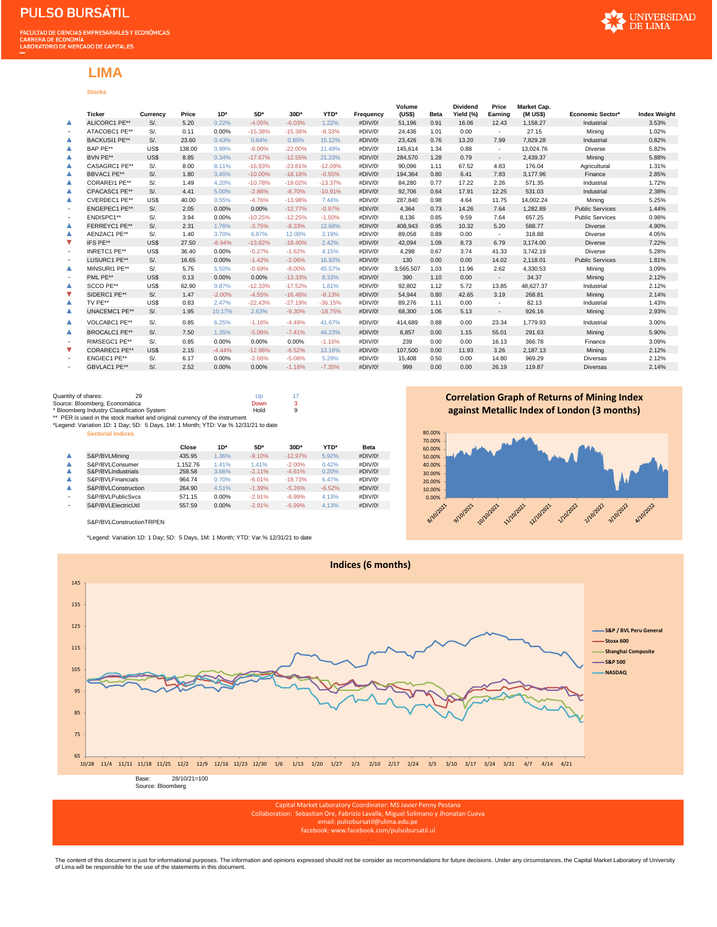# **Stocks LIMA**

|                          | <b>Ticker</b>        | Currency | Price  | $1D*$    | $5D*$     | 30D*      | YTD*      | Frequency | Volume<br>(US\$) | <b>Beta</b> | <b>Dividend</b><br>Yield (%) | Price<br>Earning         | Market Cap.<br>(M US\$) | Economic Sector*       | <b>Index Weight</b> |
|--------------------------|----------------------|----------|--------|----------|-----------|-----------|-----------|-----------|------------------|-------------|------------------------------|--------------------------|-------------------------|------------------------|---------------------|
| ▲                        | ALICORC1 PE**        | $S$ /.   | 5.20   | 0.22%    | $-4.05%$  | $-6.03%$  | 1.22%     | #DIV/0!   | 51,196           | 0.91        | 16.06                        | 12.43                    | 1.158.27                | Industrial             | 3.53%               |
| $\overline{\phantom{a}}$ | ATACOBC1 PE**        | $S$ /.   | 0.11   | 0.00%    | $-15.38%$ | $-15.38%$ | $-8.33%$  | #DIV/0!   | 24.436           | 1.01        | 0.00                         | $\sim$                   | 27.15                   | Mining                 | 1.02%               |
| ▲                        | <b>BACKUSI1 PE**</b> | $S$ /.   | 23.60  | 0.43%    | 0.64%     | 0.85%     | 15.12%    | #DIV/0!   | 23.426           | 0.76        | 13.20                        | 7.99                     | 7.829.28                | Industrial             | 0.82%               |
| ▲                        | BAP PE**             | US\$     | 138.00 | 0.99%    | $-9.00%$  | $-22.00%$ | 11.49%    | #DIV/0!   | 145.614          | 1.34        | 0.88                         | $\sim$                   | 13.024.76               | Diverse                | 5.82%               |
| ▲                        | BVN PE**             | US\$     | 8.85   | 0.34%    | $-17.67%$ | $-12.55%$ | 21.23%    | #DIV/0!   | 284.570          | 1.28        | 0.79                         | $\sim$                   | 2.439.37                | Mining                 | 5.88%               |
| ▲                        | CASAGRC1 PE**        | $S$ /.   | 8.00   | 8.11%    | $-16.93%$ | $-23.81%$ | $-12.09%$ | #DIV/0!   | 90.096           | 1.11        | 67.52                        | 4.83                     | 176.04                  | Agricultural           | 1.31%               |
| ▲                        | BBVAC1 PE**          | $S$ /.   | 1.80   | 3.45%    | $-10.00%$ | $-18.18%$ | $-0.55%$  | #DIV/0!   | 194.364          | 0.80        | 6.41                         | 7.83                     | 3.177.96                | Finance                | 2.85%               |
| ▲                        | <b>CORAREI1 PE**</b> | $S$ /.   | 1.49   | 4.20%    | $-10.78%$ | $-19.02%$ | $-13.37%$ | #DIV/0!   | 84.280           | 0.77        | 17.22                        | 2.26                     | 571.35                  | Industrial             | 1.72%               |
| ▲                        | CPACASC1 PE**        | $S$ /.   | 4.41   | 5.00%    | $-2.86%$  | $-8.70%$  | $-10.91%$ | #DIV/0!   | 92.706           | 0.64        | 17.91                        | 12.25                    | 531.03                  | Industrial             | 2.38%               |
| ▲                        | CVERDEC1 PE**        | US\$     | 40.00  | 0.55%    | $-4.76%$  | $-13.98%$ | 7.44%     | #DIV/0!   | 287.840          | 0.98        | 4.64                         | 11.75                    | 14.002.24               | Mining                 | 5.25%               |
| $\overline{\phantom{a}}$ | ENGEPEC1 PE**        | $S$ /.   | 2.05   | 0.00%    | 0.00%     | $-12.77%$ | $-0.97%$  | #DIV/0!   | 4.364            | 0.73        | 14.26                        | 7.64                     | 1.282.89                | <b>Public Services</b> | 1.44%               |
| $\overline{\phantom{a}}$ | ENDISPC1**           | $S$ /.   | 3.94   | 0.00%    | $-10.25%$ | $-12.25%$ | $-1.50%$  | #DIV/0!   | 8.136            | 0.85        | 9.59                         | 7.64                     | 657.25                  | <b>Public Services</b> | 0.98%               |
| ▲                        | FERREYC1 PE**        | $S$ /.   | 2.31   | 1.76%    | $-3.75%$  | $-8.33%$  | 12.68%    | #DIV/0!   | 408,943          | 0.95        | 10.32                        | 5.20                     | 588.77                  | <b>Diverse</b>         | 4.90%               |
| ▲                        | AENZAC1 PE**         | $S$ /.   | 1.40   | 3.70%    | 6.87%     | 12.00%    | 2.19%     | #DIV/0!   | 89,058           | 0.89        | 0.00                         | $\sim$                   | 318.88                  | Diverse                | 4.05%               |
| ▼                        | IFS PE**             | US\$     | 27.50  | $-8.94%$ | $-13.82%$ | $-18.40%$ | 2.42%     | #DIV/0!   | 42,094           | 1.09        | 8.73                         | 6.79                     | 3,174.00                | <b>Diverse</b>         | 7.22%               |
| $\overline{\phantom{a}}$ | INRETC1 PE**         | US\$     | 36.40  | 0.00%    | $-0.27%$  | $-1.62%$  | 4.15%     | #DIV/0!   | 4,298            | 0.67        | 3.74                         | 41.33                    | 3,742.19                | Diverse                | 5.28%               |
| $\overline{\phantom{a}}$ | LUSURC1 PE**         | $S$ /.   | 16.65  | 0.00%    | $-1.42%$  | $-2.06%$  | 16.92%    | #DIV/0!   | 130              | 0.00        | 0.00                         | 14.02                    | 2,118.01                | <b>Public Services</b> | 1.81%               |
| ▲                        | MINSURI1 PE**        | $S$ /.   | 5.75   | 5.50%    | $-0.69%$  | $-8.00%$  | 45.57%    | #DIV/0!   | 3,565,507        | 1.03        | 11.96                        | 2.62                     | 4,330.53                | Mining                 | 3.09%               |
| $\overline{\phantom{a}}$ | PML PE**             | US\$     | 0.13   | 0.00%    | 0.00%     | $-13.33%$ | 8.33%     | #DIV/0!   | 390              | 1.10        | 0.00                         | $\sim$                   | 34.37                   | Mining                 | 2.12%               |
| ▲                        | SCCO PE**            | US\$     | 62.90  | 0.87%    | $-12.33%$ | $-17.52%$ | 1.81%     | #DIV/0!   | 92,802           | 1.12        | 5.72                         | 13.85                    | 48,627.37               | Industrial             | 2.12%               |
| ▼                        | SIDERC1 PE**         | $S$ /.   | 1.47   | $-2.00%$ | $-4.55%$  | $-16.48%$ | $-8.13%$  | #DIV/0!   | 54,944           | 0.80        | 42.65                        | 3.19                     | 268.81                  | Mining                 | 2.14%               |
| ▲                        | TV PE**              | US\$     | 0.83   | 2.47%    | $-22.43%$ | $-27.19%$ | $-36.15%$ | #DIV/0!   | 89,276           | 1.11        | 0.00                         | $\overline{\phantom{a}}$ | 82.13                   | Industrial             | 1.43%               |
| ▲                        | UNACEMC1 PE**        | $S$ /.   | 1.95   | 10.17%   | 2.63%     | $-9.30%$  | $-18.75%$ | #DIV/0!   | 68,300           | 1.06        | 5.13                         | $\sim$                   | 926.16                  | Mining                 | 2.93%               |
| ▲                        | VOLCABC1 PE**        | $S$ /.   | 0.85   | 6.25%    | $-1.16%$  | $-4.49%$  | 41.67%    | #DIV/0!   | 414.689          | 0.88        | 0.00                         | 23.34                    | 1,779.93                | Industrial             | 3.00%               |
| ▲                        | <b>BROCALC1 PE**</b> | $S$ /.   | 7.50   | 1.35%    | $-5.06%$  | $-7.41%$  | 44.23%    | #DIV/0!   | 6.857            | 0.00        | 1.15                         | 55.01                    | 291.63                  | Mining                 | 5.90%               |
| $\overline{\phantom{a}}$ | RIMSEGC1 PE**        | $S$ /.   | 0.85   | 0.00%    | 0.00%     | 0.00%     | $-1.16%$  | #DIV/0!   | 239              | 0.00        | 0.00                         | 16.13                    | 366.78                  | Finance                | 3.09%               |
| V                        | <b>CORAREC1 PE**</b> | US\$     | 2.15   | $-4.44%$ | $-12.96%$ | $-6.52%$  | 13.16%    | #DIV/0!   | 107.500          | 0.00        | 11.93                        | 3.26                     | 2,187.13                | Mining                 | 2.12%               |
| $\overline{\phantom{a}}$ | ENGIEC1 PE**         | $S$ /.   | 6.17   | 0.00%    | $-2.06%$  | $-5.08%$  | 5.29%     | #DIV/0!   | 15,408           | 0.50        | 0.00                         | 14.80                    | 969.29                  | <b>Diversas</b>        | 2.12%               |
| ٠                        | GBVLAC1 PE**         | $S$ /.   | 2.52   | 0.00%    | 0.00%     | $-1.18%$  | $-7.35%$  | #DIV/0!   | 999              | 0.00        | 0.00                         | 26.19                    | 119,87                  | <b>Diversas</b>        | 2.14%               |

| Quantity of shares:<br>29                                                          | Up   |    |
|------------------------------------------------------------------------------------|------|----|
| Source: Bloomberg, Economática                                                     | Down | 3. |
| * Bloomberg Industry Classification System                                         | Hold | 9  |
| ** PER is used in the stock market and original currency of the instrument         |      |    |
| *Legend: Variation 1D: 1 Day; 5D: 5 Days, 1M: 1 Month; YTD: Var.% 12/31/21 to date |      |    |

**Sectorial Indices**

|   |                     | Close    | $1D^*$   | 5D*      | $30D*$    | YTD*     | <b>Beta</b> |
|---|---------------------|----------|----------|----------|-----------|----------|-------------|
|   | S&P/BVLMining       | 435.95   | 1.36%    | $-9.10%$ | $-12.97%$ | 5.92%    | #DIV/O!     |
|   | S&P/BVLConsumer     | 1.152.76 | 1.41%    | 1.41%    | $-2.00%$  | 0.42%    | #DIV/0!     |
|   | S&P/BVLIndustrials  | 258.58   | 3.66%    | $-2.11%$ | $-4.61%$  | 0.20%    | #DIV/O!     |
|   | S&P/BVLFinancials   | 964.74   | 0.70%    | $-6.01%$ | $-18.73%$ | 6.47%    | #DIV/0!     |
|   | S&P/BVLConstruction | 264.90   | 4.51%    | $-1.39%$ | $-5.26%$  | $-6.52%$ | #DIV/0!     |
| ۰ | S&P/BVLPublicSvcs   | 571.15   | $0.00\%$ | $-2.91%$ | $-6.99%$  | 4.13%    | #DIV/0!     |
| ۰ | S&P/BVLElectricUtil | 557.59   | 0.00%    | $-2.91%$ | $-6.99%$  | 4.13%    | #DIV/0!     |

### S&P/BVLConstructionTRPEN

\*Legend: Variation 1D: 1 Day; 5D: 5 Days, 1M: 1 Month; YTD: Var.% 12/31/21 to date

**Correlation Graph of Returns of Mining Index against Metallic Index of London (3 months)**





Capital Market Laboratory Coordinator: MS Javier Penny Pestana Collaboration: Sebastian Ore, Fabrizio Lavalle, Miguel Solimano y Jhonatan Cueva email: pulsobursatil@ulima.edu.pe

facebook: www.facebook.com/pulsobursatil.ul .

The content of this document is just for informational purposes. The information and opinions expressed should not be consider as recommendations for future decisions. Under any circumstances, the Capital Market Laboratory